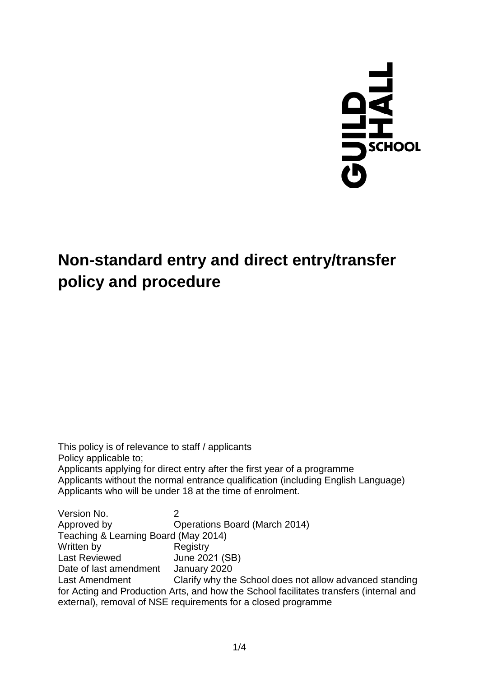

# **Non-standard entry and direct entry/transfer policy and procedure**

This policy is of relevance to staff / applicants Policy applicable to; Applicants applying for direct entry after the first year of a programme Applicants without the normal entrance qualification (including English Language) Applicants who will be under 18 at the time of enrolment.

Version No. 2 Approved by Operations Board (March 2014) Teaching & Learning Board (May 2014) Written by Last Reviewed Date of last amendment Last Amendment **Registry** June 2021 (SB) January 2020 Clarify why the School does not allow advanced standing for Acting and Production Arts, and how the School facilitates transfers (internal and external), removal of NSE requirements for a closed programme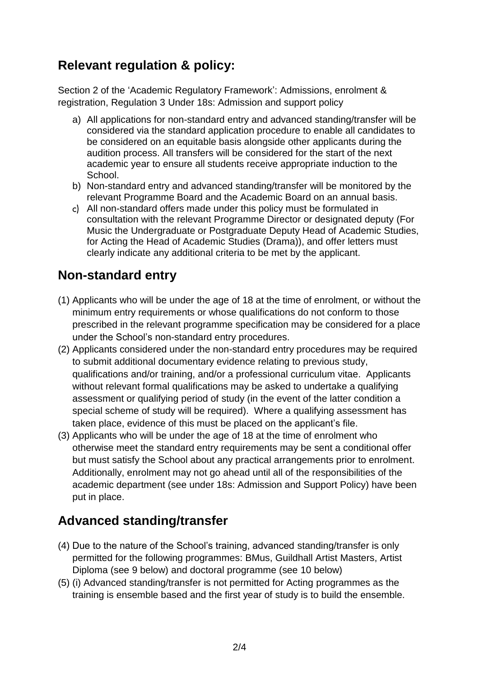## **Relevant regulation & policy:**

Section 2 of the 'Academic Regulatory Framework': Admissions, enrolment & registration, Regulation 3 Under 18s: Admission and support policy

- a) All applications for non-standard entry and advanced standing/transfer will be considered via the standard application procedure to enable all candidates to be considered on an equitable basis alongside other applicants during the audition process. All transfers will be considered for the start of the next academic year to ensure all students receive appropriate induction to the School.
- b) Non-standard entry and advanced standing/transfer will be monitored by the relevant Programme Board and the Academic Board on an annual basis.
- All non-standard offers made under this policy must be formulated in consultation with the relevant Programme Director or designated deputy (For Music the Undergraduate or Postgraduate Deputy Head of Academic Studies, for Acting the Head of Academic Studies (Drama)), and offer letters must clearly indicate any additional criteria to be met by the applicant.

#### **Non-standard entry**

- (1) Applicants who will be under the age of 18 at the time of enrolment, or without the minimum entry requirements or whose qualifications do not conform to those prescribed in the relevant programme specification may be considered for a place under the School's non-standard entry procedures.
- (2) Applicants considered under the non-standard entry procedures may be required to submit additional documentary evidence relating to previous study, qualifications and/or training, and/or a professional curriculum vitae. Applicants without relevant formal qualifications may be asked to undertake a qualifying assessment or qualifying period of study (in the event of the latter condition a special scheme of study will be required). Where a qualifying assessment has taken place, evidence of this must be placed on the applicant's file.
- (3) Applicants who will be under the age of 18 at the time of enrolment who otherwise meet the standard entry requirements may be sent a conditional offer but must satisfy the School about any practical arrangements prior to enrolment. Additionally, enrolment may not go ahead until all of the responsibilities of the academic department (see under 18s: Admission and Support Policy) have been put in place.

### **Advanced standing/transfer**

- (4) Due to the nature of the School's training, advanced standing/transfer is only permitted for the following programmes: BMus, Guildhall Artist Masters, Artist Diploma (see 9 below) and doctoral programme (see 10 below)
- (5) (i) Advanced standing/transfer is not permitted for Acting programmes as the training is ensemble based and the first year of study is to build the ensemble.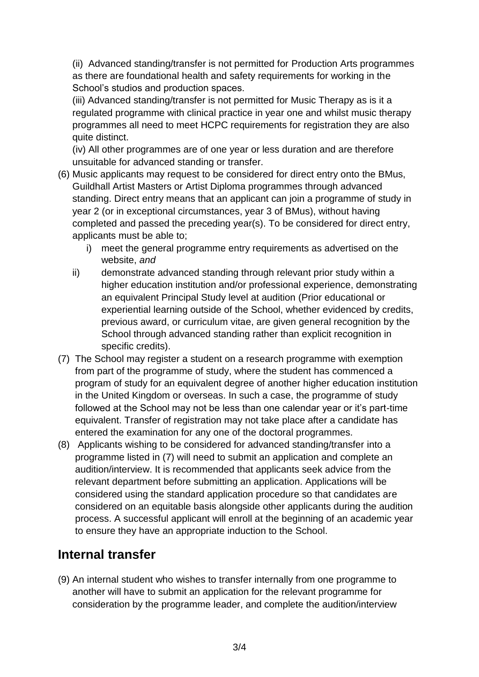(ii) Advanced standing/transfer is not permitted for Production Arts programmes as there are foundational health and safety requirements for working in the School's studios and production spaces.

(iii) Advanced standing/transfer is not permitted for Music Therapy as is it a regulated programme with clinical practice in year one and whilst music therapy programmes all need to meet HCPC requirements for registration they are also quite distinct.

(iv) All other programmes are of one year or less duration and are therefore unsuitable for advanced standing or transfer.

- (6) Music applicants may request to be considered for direct entry onto the BMus, Guildhall Artist Masters or Artist Diploma programmes through advanced standing. Direct entry means that an applicant can join a programme of study in year 2 (or in exceptional circumstances, year 3 of BMus), without having completed and passed the preceding year(s). To be considered for direct entry, applicants must be able to;
	- i) meet the general programme entry requirements as advertised on the website, *and*
	- ii) demonstrate advanced standing through relevant prior study within a higher education institution and/or professional experience, demonstrating an equivalent Principal Study level at audition (Prior educational or experiential learning outside of the School, whether evidenced by credits, previous award, or curriculum vitae, are given general recognition by the School through advanced standing rather than explicit recognition in specific credits).
- (7) The School may register a student on a research programme with exemption from part of the programme of study, where the student has commenced a program of study for an equivalent degree of another higher education institution in the United Kingdom or overseas. In such a case, the programme of study followed at the School may not be less than one calendar year or it's part-time equivalent. Transfer of registration may not take place after a candidate has entered the examination for any one of the doctoral programmes.
- (8) Applicants wishing to be considered for advanced standing/transfer into a programme listed in (7) will need to submit an application and complete an audition/interview. It is recommended that applicants seek advice from the relevant department before submitting an application. Applications will be considered using the standard application procedure so that candidates are considered on an equitable basis alongside other applicants during the audition process. A successful applicant will enroll at the beginning of an academic year to ensure they have an appropriate induction to the School.

#### **Internal transfer**

(9) An internal student who wishes to transfer internally from one programme to another will have to submit an application for the relevant programme for consideration by the programme leader, and complete the audition/interview